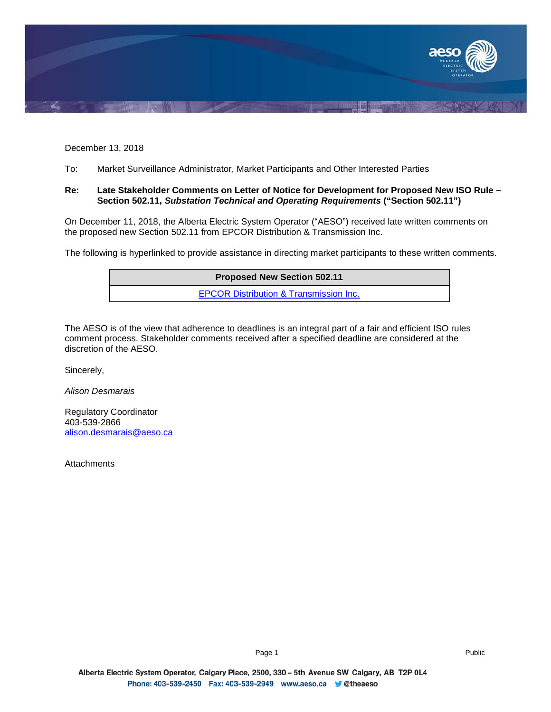

December 13, 2018

To: Market Surveillance Administrator, Market Participants and Other Interested Parties

## **Re: Late Stakeholder Comments on Letter of Notice for Development for Proposed New ISO Rule – Section 502.11,** *Substation Technical and Operating Requirements* **("Section 502.11")**

On December 11, 2018, the Alberta Electric System Operator ("AESO") received late written comments on the proposed new Section 502.11 from EPCOR Distribution & Transmission Inc.

The following is hyperlinked to provide assistance in directing market participants to these written comments.

| <b>Proposed New Section 502.11</b>                |  |
|---------------------------------------------------|--|
| <b>EPCOR Distribution &amp; Transmission Inc.</b> |  |

The AESO is of the view that adherence to deadlines is an integral part of a fair and efficient ISO rules comment process. Stakeholder comments received after a specified deadline are considered at the discretion of the AESO.

Sincerely,

*Alison Desmarais*

Regulatory Coordinator 403-539-2866 [alison.desmarais@aeso.ca](mailto:alison.desmarais@aeso.ca)

**Attachments**